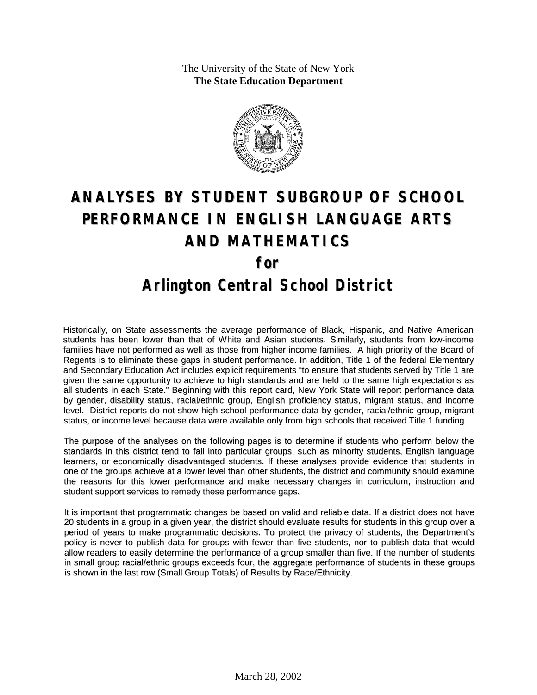The University of the State of New York **The State Education Department**



# **ANALYSES BY STUDENT SUBGROUP OF SCHOOL PERFORMANCE IN ENGLISH LANGUAGE ARTS AND MATHEMATICS for Arlington Central School District**

Historically, on State assessments the average performance of Black, Hispanic, and Native American students has been lower than that of White and Asian students. Similarly, students from low-income families have not performed as well as those from higher income families. A high priority of the Board of Regents is to eliminate these gaps in student performance. In addition, Title 1 of the federal Elementary and Secondary Education Act includes explicit requirements "to ensure that students served by Title 1 are given the same opportunity to achieve to high standards and are held to the same high expectations as all students in each State." Beginning with this report card, New York State will report performance data by gender, disability status, racial/ethnic group, English proficiency status, migrant status, and income level. District reports do not show high school performance data by gender, racial/ethnic group, migrant status, or income level because data were available only from high schools that received Title 1 funding.

The purpose of the analyses on the following pages is to determine if students who perform below the standards in this district tend to fall into particular groups, such as minority students, English language learners, or economically disadvantaged students. If these analyses provide evidence that students in one of the groups achieve at a lower level than other students, the district and community should examine the reasons for this lower performance and make necessary changes in curriculum, instruction and student support services to remedy these performance gaps.

It is important that programmatic changes be based on valid and reliable data. If a district does not have 20 students in a group in a given year, the district should evaluate results for students in this group over a period of years to make programmatic decisions. To protect the privacy of students, the Department's policy is never to publish data for groups with fewer than five students, nor to publish data that would allow readers to easily determine the performance of a group smaller than five. If the number of students in small group racial/ethnic groups exceeds four, the aggregate performance of students in these groups is shown in the last row (Small Group Totals) of Results by Race/Ethnicity.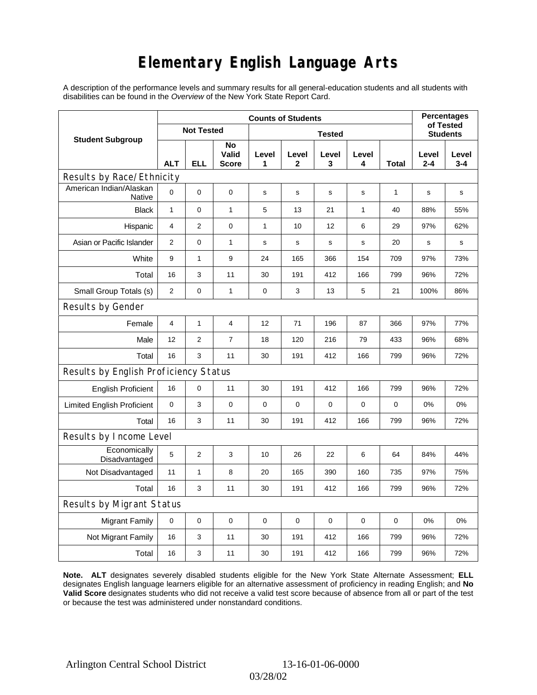# **Elementary English Language Arts**

A description of the performance levels and summary results for all general-education students and all students with disabilities can be found in the *Overview* of the New York State Report Card.

|                                       | <b>Counts of Students</b> |                   |                             |             |              |                 |              |             |              | <b>Percentages</b><br>of Tested |  |
|---------------------------------------|---------------------------|-------------------|-----------------------------|-------------|--------------|-----------------|--------------|-------------|--------------|---------------------------------|--|
| <b>Student Subgroup</b>               |                           | <b>Not Tested</b> |                             |             |              | <b>Students</b> |              |             |              |                                 |  |
|                                       | <b>ALT</b>                | ELL               | No<br>Valid<br><b>Score</b> | Level<br>1  | Level<br>2   | Level<br>3      | Level<br>4   | Total       | Level<br>2-4 | Level<br>$3 - 4$                |  |
| Results by Race/Ethnicity             |                           |                   |                             |             |              |                 |              |             |              |                                 |  |
| American Indian/Alaskan<br>Native     | $\mathbf 0$               | 0                 | $\mathbf 0$                 | $\mathbf S$ | $\mathsf{s}$ | $\mathbf s$     | s            | 1           | $\mathbf S$  | s                               |  |
| <b>Black</b>                          | $\mathbf{1}$              | 0                 | $\mathbf{1}$                | 5           | 13           | 21              | $\mathbf{1}$ | 40          | 88%          | 55%                             |  |
| Hispanic                              | $\overline{\mathbf{4}}$   | $\overline{2}$    | $\pmb{0}$                   | 1           | 10           | 12              | 6            | 29          | 97%          | 62%                             |  |
| Asian or Pacific Islander             | 2                         | 0                 | $\mathbf{1}$                | s           | s            | $\mathbf s$     | s            | 20          | s            | $\mathbf s$                     |  |
| White                                 | 9                         | $\mathbf{1}$      | 9                           | 24          | 165          | 366             | 154          | 709         | 97%          | 73%                             |  |
| Total                                 | 16                        | 3                 | 11                          | 30          | 191          | 412             | 166          | 799         | 96%          | 72%                             |  |
| Small Group Totals (s)                | $\overline{2}$            | 0                 | $\mathbf{1}$                | 0           | 3            | 13              | 5            | 21          | 100%         | 86%                             |  |
| Results by Gender                     |                           |                   |                             |             |              |                 |              |             |              |                                 |  |
| Female                                | $\overline{4}$            | $\mathbf 1$       | $\overline{4}$              | 12          | 71           | 196             | 87           | 366         | 97%          | 77%                             |  |
| Male                                  | 12                        | $\overline{2}$    | $\overline{7}$              | 18          | 120          | 216             | 79           | 433         | 96%          | 68%                             |  |
| Total                                 | 16                        | 3                 | 11                          | 30          | 191          | 412             | 166          | 799         | 96%          | 72%                             |  |
| Results by English Proficiency Status |                           |                   |                             |             |              |                 |              |             |              |                                 |  |
| <b>English Proficient</b>             | 16                        | 0                 | 11                          | 30          | 191          | 412             | 166          | 799         | 96%          | 72%                             |  |
| <b>Limited English Proficient</b>     | $\mathbf 0$               | 3                 | 0                           | 0           | $\mathbf 0$  | $\mathbf 0$     | $\mathbf 0$  | $\mathbf 0$ | 0%           | 0%                              |  |
| Total                                 | 16                        | 3                 | 11                          | 30          | 191          | 412             | 166          | 799         | 96%          | 72%                             |  |
| Results by Income Level               |                           |                   |                             |             |              |                 |              |             |              |                                 |  |
| Economically<br>Disadvantaged         | 5                         | 2                 | 3                           | 10          | 26           | 22              | 6            | 64          | 84%          | 44%                             |  |
| Not Disadvantaged                     | 11                        | 1                 | 8                           | 20          | 165          | 390             | 160          | 735         | 97%          | 75%                             |  |
| Total                                 | 16                        | 3                 | 11                          | 30          | 191          | 412             | 166          | 799         | 96%          | 72%                             |  |
| Results by Migrant Status             |                           |                   |                             |             |              |                 |              |             |              |                                 |  |
| <b>Migrant Family</b>                 | 0                         | 0                 | 0                           | 0           | 0            | $\mathbf 0$     | 0            | 0           | 0%           | 0%                              |  |
| Not Migrant Family                    | 16                        | 3                 | 11                          | 30          | 191          | 412             | 166          | 799         | 96%          | 72%                             |  |
| Total                                 | 16                        | 3                 | 11                          | 30          | 191          | 412             | 166          | 799         | 96%          | 72%                             |  |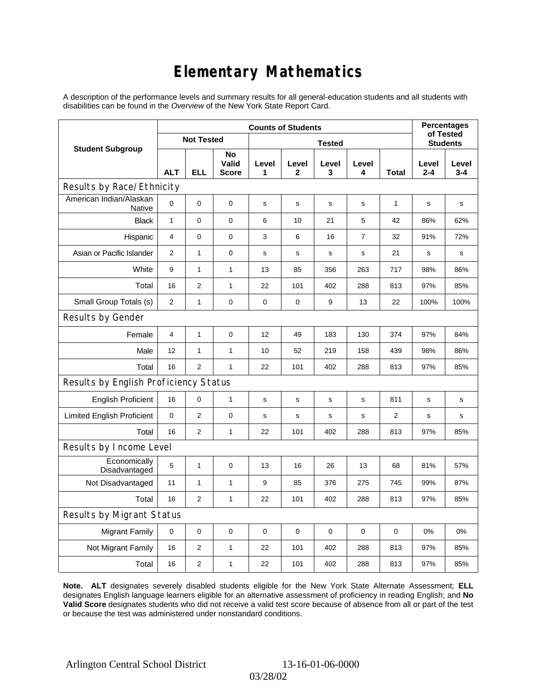# **Elementary Mathematics**

A description of the performance levels and summary results for all general-education students and all students with disabilities can be found in the *Overview* of the New York State Report Card.

|                                          | <b>Counts of Students</b> |                   |                             |            |            |                 |                |                | <b>Percentages</b><br>of Tested |                  |
|------------------------------------------|---------------------------|-------------------|-----------------------------|------------|------------|-----------------|----------------|----------------|---------------------------------|------------------|
| <b>Student Subgroup</b>                  |                           | <b>Not Tested</b> |                             |            |            | <b>Students</b> |                |                |                                 |                  |
|                                          | <b>ALT</b>                | <b>ELL</b>        | No<br>Valid<br><b>Score</b> | Level<br>1 | Level<br>2 | Level<br>3      | Level<br>4     | <b>Total</b>   | Level<br>$2 - 4$                | Level<br>$3 - 4$ |
| Results by Race/Ethnicity                |                           |                   |                             |            |            |                 |                |                |                                 |                  |
| American Indian/Alaskan<br><b>Native</b> | $\mathbf 0$               | 0                 | 0                           | s          | s          | s               | s              | 1              | s                               | s                |
| <b>Black</b>                             | $\mathbf{1}$              | 0                 | $\mathbf 0$                 | 6          | 10         | 21              | 5              | 42             | 86%                             | 62%              |
| Hispanic                                 | 4                         | 0                 | $\pmb{0}$                   | 3          | 6          | 16              | $\overline{7}$ | 32             | 91%                             | 72%              |
| Asian or Pacific Islander                | 2                         | $\mathbf{1}$      | 0                           | s          | s          | $\mathbf s$     | s              | 21             | $\mathbf s$                     | s                |
| White                                    | 9                         | 1                 | $\mathbf{1}$                | 13         | 85         | 356             | 263            | 717            | 98%                             | 86%              |
| Total                                    | 16                        | $\overline{2}$    | $\mathbf{1}$                | 22         | 101        | 402             | 288            | 813            | 97%                             | 85%              |
| Small Group Totals (s)                   | $\overline{2}$            | 1                 | 0                           | 0          | 0          | 9               | 13             | 22             | 100%                            | 100%             |
| Results by Gender                        |                           |                   |                             |            |            |                 |                |                |                                 |                  |
| Female                                   | $\overline{4}$            | 1                 | 0                           | 12         | 49         | 183             | 130            | 374            | 97%                             | 84%              |
| Male                                     | 12                        | $\mathbf{1}$      | $\mathbf{1}$                | 10         | 52         | 219             | 158            | 439            | 98%                             | 86%              |
| Total                                    | 16                        | 2                 | $\mathbf{1}$                | 22         | 101        | 402             | 288            | 813            | 97%                             | 85%              |
| Results by English Proficiency Status    |                           |                   |                             |            |            |                 |                |                |                                 |                  |
| <b>English Proficient</b>                | 16                        | 0                 | $\mathbf{1}$                | s          | s          | $\mathbf S$     | s              | 811            | s                               | s                |
| <b>Limited English Proficient</b>        | $\mathbf 0$               | $\overline{2}$    | $\pmb{0}$                   | s          | s          | $\mathbf s$     | s              | $\overline{2}$ | $\mathbf s$                     | s                |
| Total                                    | 16                        | $\overline{2}$    | 1                           | 22         | 101        | 402             | 288            | 813            | 97%                             | 85%              |
| Results by Income Level                  |                           |                   |                             |            |            |                 |                |                |                                 |                  |
| Economically<br>Disadvantaged            | 5                         | 1                 | $\mathbf 0$                 | 13         | 16         | 26              | 13             | 68             | 81%                             | 57%              |
| Not Disadvantaged                        | 11                        | 1                 | $\mathbf{1}$                | 9          | 85         | 376             | 275            | 745            | 99%                             | 87%              |
| Total                                    | 16                        | $\overline{2}$    | $\mathbf{1}$                | 22         | 101        | 402             | 288            | 813            | 97%                             | 85%              |
| Results by Migrant Status                |                           |                   |                             |            |            |                 |                |                |                                 |                  |
| <b>Migrant Family</b>                    | $\mathbf 0$               | 0                 | $\pmb{0}$                   | 0          | 0          | 0               | 0              | 0              | 0%                              | 0%               |
| Not Migrant Family                       | 16                        | 2                 | 1                           | 22         | 101        | 402             | 288            | 813            | 97%                             | 85%              |
| Total                                    | 16                        | $\overline{c}$    | 1                           | 22         | 101        | 402             | 288            | 813            | 97%                             | 85%              |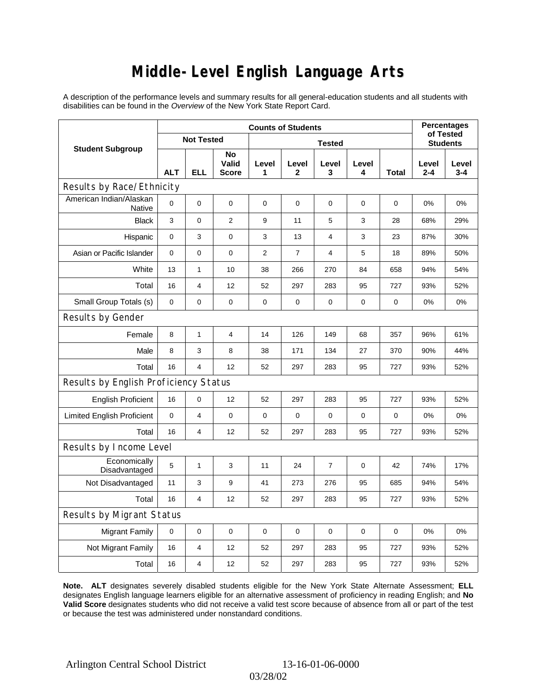### **Middle-Level English Language Arts**

A description of the performance levels and summary results for all general-education students and all students with disabilities can be found in the *Overview* of the New York State Report Card.

|                                       | <b>Counts of Students</b> |                   |                      |             |                |                 |             |             | <b>Percentages</b><br>of Tested |              |
|---------------------------------------|---------------------------|-------------------|----------------------|-------------|----------------|-----------------|-------------|-------------|---------------------------------|--------------|
| <b>Student Subgroup</b>               |                           | <b>Not Tested</b> |                      |             |                | <b>Students</b> |             |             |                                 |              |
|                                       | <b>ALT</b>                | <b>ELL</b>        | No<br>Valid<br>Score | Level<br>1  | Level<br>2     | Level<br>3      | Level<br>4  | Total       | Level<br>2-4                    | Level<br>3-4 |
| Results by Race/Ethnicity             |                           |                   |                      |             |                |                 |             |             |                                 |              |
| American Indian/Alaskan<br>Native     | 0                         | 0                 | $\mathbf 0$          | $\mathbf 0$ | $\mathbf 0$    | $\mathbf 0$     | $\mathbf 0$ | $\mathbf 0$ | 0%                              | 0%           |
| <b>Black</b>                          | 3                         | 0                 | $\overline{2}$       | 9           | 11             | 5               | 3           | 28          | 68%                             | 29%          |
| Hispanic                              | 0                         | 3                 | 0                    | 3           | 13             | 4               | 3           | 23          | 87%                             | 30%          |
| Asian or Pacific Islander             | $\mathbf 0$               | 0                 | $\mathbf 0$          | 2           | $\overline{7}$ | 4               | 5           | 18          | 89%                             | 50%          |
| White                                 | 13                        | 1                 | 10                   | 38          | 266            | 270             | 84          | 658         | 94%                             | 54%          |
| Total                                 | 16                        | 4                 | 12                   | 52          | 297            | 283             | 95          | 727         | 93%                             | 52%          |
| Small Group Totals (s)                | 0                         | 0                 | 0                    | 0           | 0              | 0               | 0           | 0           | 0%                              | 0%           |
| Results by Gender                     |                           |                   |                      |             |                |                 |             |             |                                 |              |
| Female                                | 8                         | $\mathbf{1}$      | $\overline{4}$       | 14          | 126            | 149             | 68          | 357         | 96%                             | 61%          |
| Male                                  | 8                         | 3                 | 8                    | 38          | 171            | 134             | 27          | 370         | 90%                             | 44%          |
| Total                                 | 16                        | 4                 | 12                   | 52          | 297            | 283             | 95          | 727         | 93%                             | 52%          |
| Results by English Proficiency Status |                           |                   |                      |             |                |                 |             |             |                                 |              |
| <b>English Proficient</b>             | 16                        | 0                 | 12                   | 52          | 297            | 283             | 95          | 727         | 93%                             | 52%          |
| <b>Limited English Proficient</b>     | 0                         | 4                 | 0                    | 0           | 0              | 0               | 0           | 0           | 0%                              | 0%           |
| Total                                 | 16                        | 4                 | 12                   | 52          | 297            | 283             | 95          | 727         | 93%                             | 52%          |
| Results by Income Level               |                           |                   |                      |             |                |                 |             |             |                                 |              |
| Economically<br>Disadvantaged         | 5                         | $\mathbf{1}$      | 3                    | 11          | 24             | 7               | $\mathbf 0$ | 42          | 74%                             | 17%          |
| Not Disadvantaged                     | 11                        | 3                 | 9                    | 41          | 273            | 276             | 95          | 685         | 94%                             | 54%          |
| Total                                 | 16                        | $\overline{4}$    | 12                   | 52          | 297            | 283             | 95          | 727         | 93%                             | 52%          |
| Results by Migrant Status             |                           |                   |                      |             |                |                 |             |             |                                 |              |
| <b>Migrant Family</b>                 | 0                         | 0                 | $\mathbf 0$          | $\mathbf 0$ | $\mathbf 0$    | $\mathbf 0$     | 0           | 0           | 0%                              | 0%           |
| Not Migrant Family                    | 16                        | 4                 | 12                   | 52          | 297            | 283             | 95          | 727         | 93%                             | 52%          |
| Total                                 | 16                        | 4                 | 12                   | 52          | 297            | 283             | 95          | 727         | 93%                             | 52%          |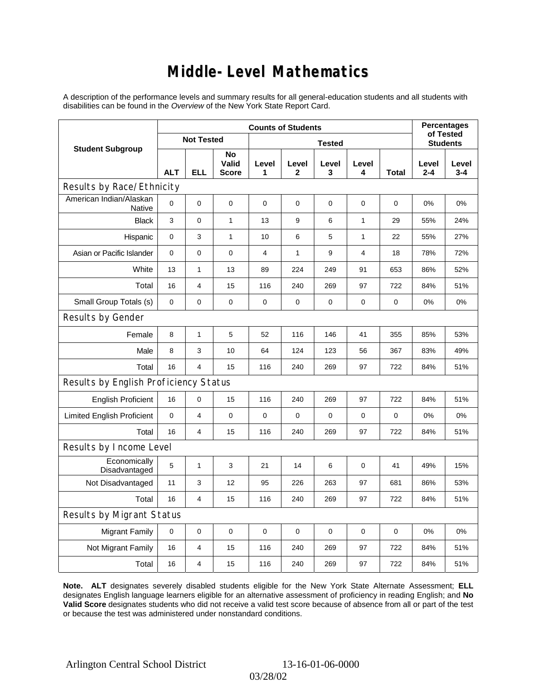### **Middle-Level Mathematics**

A description of the performance levels and summary results for all general-education students and all students with disabilities can be found in the *Overview* of the New York State Report Card.

|                                          | <b>Counts of Students</b> |                   |                             |                |                       |                 |                |              |                  | <b>Percentages</b><br>of Tested |  |
|------------------------------------------|---------------------------|-------------------|-----------------------------|----------------|-----------------------|-----------------|----------------|--------------|------------------|---------------------------------|--|
| <b>Student Subgroup</b>                  |                           | <b>Not Tested</b> |                             |                |                       | <b>Students</b> |                |              |                  |                                 |  |
|                                          | <b>ALT</b>                | <b>ELL</b>        | No<br>Valid<br><b>Score</b> | Level<br>1     | Level<br>$\mathbf{2}$ | Level<br>3      | Level<br>4     | <b>Total</b> | Level<br>$2 - 4$ | Level<br>$3 - 4$                |  |
| Results by Race/Ethnicity                |                           |                   |                             |                |                       |                 |                |              |                  |                                 |  |
| American Indian/Alaskan<br><b>Native</b> | $\mathbf 0$               | 0                 | $\mathbf 0$                 | $\mathbf 0$    | $\mathbf 0$           | 0               | 0              | 0            | $0\%$            | 0%                              |  |
| <b>Black</b>                             | 3                         | 0                 | $\mathbf{1}$                | 13             | 9                     | 6               | $\mathbf{1}$   | 29           | 55%              | 24%                             |  |
| Hispanic                                 | 0                         | 3                 | 1                           | 10             | 6                     | 5               | 1              | 22           | 55%              | 27%                             |  |
| Asian or Pacific Islander                | $\mathbf 0$               | 0                 | 0                           | $\overline{4}$ | $\mathbf{1}$          | 9               | $\overline{4}$ | 18           | 78%              | 72%                             |  |
| White                                    | 13                        | 1                 | 13                          | 89             | 224                   | 249             | 91             | 653          | 86%              | 52%                             |  |
| Total                                    | 16                        | 4                 | 15                          | 116            | 240                   | 269             | 97             | 722          | 84%              | 51%                             |  |
| Small Group Totals (s)                   | $\mathbf 0$               | 0                 | $\pmb{0}$                   | $\mathbf 0$    | 0                     | 0               | 0              | 0            | 0%               | 0%                              |  |
| Results by Gender                        |                           |                   |                             |                |                       |                 |                |              |                  |                                 |  |
| Female                                   | 8                         | 1                 | 5                           | 52             | 116                   | 146             | 41             | 355          | 85%              | 53%                             |  |
| Male                                     | 8                         | 3                 | 10                          | 64             | 124                   | 123             | 56             | 367          | 83%              | 49%                             |  |
| Total                                    | 16                        | 4                 | 15                          | 116            | 240                   | 269             | 97             | 722          | 84%              | 51%                             |  |
| Results by English Proficiency Status    |                           |                   |                             |                |                       |                 |                |              |                  |                                 |  |
| <b>English Proficient</b>                | 16                        | 0                 | 15                          | 116            | 240                   | 269             | 97             | 722          | 84%              | 51%                             |  |
| <b>Limited English Proficient</b>        | $\mathbf 0$               | 4                 | $\mathbf 0$                 | $\mathbf 0$    | 0                     | $\mathbf 0$     | $\mathbf 0$    | $\mathbf 0$  | 0%               | 0%                              |  |
| Total                                    | 16                        | 4                 | 15                          | 116            | 240                   | 269             | 97             | 722          | 84%              | 51%                             |  |
| Results by Income Level                  |                           |                   |                             |                |                       |                 |                |              |                  |                                 |  |
| Economically<br>Disadvantaged            | 5                         | 1                 | 3                           | 21             | 14                    | 6               | 0              | 41           | 49%              | 15%                             |  |
| Not Disadvantaged                        | 11                        | 3                 | 12                          | 95             | 226                   | 263             | 97             | 681          | 86%              | 53%                             |  |
| Total                                    | 16                        | 4                 | 15                          | 116            | 240                   | 269             | 97             | 722          | 84%              | 51%                             |  |
| <b>Results by Migrant Status</b>         |                           |                   |                             |                |                       |                 |                |              |                  |                                 |  |
| <b>Migrant Family</b>                    | $\mathbf 0$               | 0                 | 0                           | $\mathbf 0$    | $\mathbf 0$           | $\mathbf 0$     | 0              | 0            | 0%               | 0%                              |  |
| Not Migrant Family                       | 16                        | 4                 | 15                          | 116            | 240                   | 269             | 97             | 722          | 84%              | 51%                             |  |
| Total                                    | 16                        | 4                 | 15                          | 116            | 240                   | 269             | 97             | 722          | 84%              | 51%                             |  |